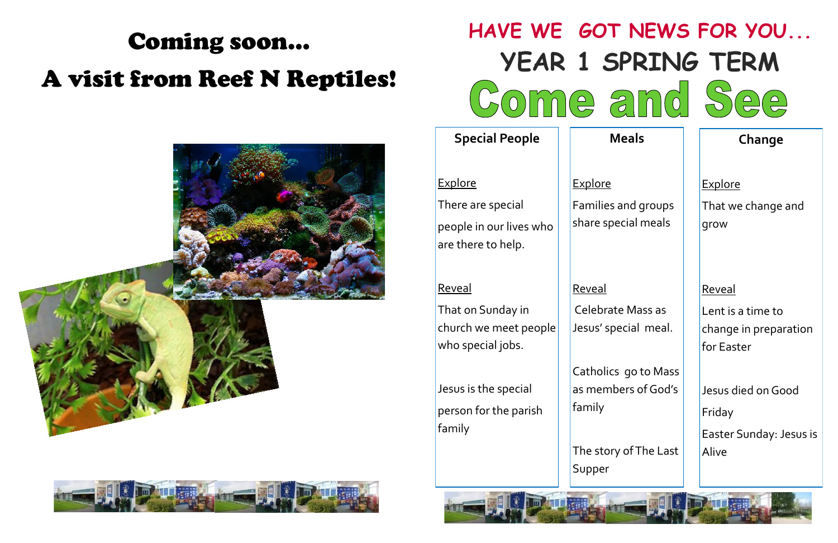## Coming soon… A visit from Reef N Reptiles!





**Explore** That we change and grow

#### **Reveal**

| HAVE WE <i>G</i> o                                                                   |                                       |
|--------------------------------------------------------------------------------------|---------------------------------------|
| <b>YEAR 1</b>                                                                        |                                       |
| Dinne                                                                                |                                       |
| <b>Special People</b>                                                                |                                       |
| <u>Explore</u><br>There are special<br>people in our lives who<br>are there to help. | Explore<br>Families<br>share sp       |
| <u>Reveal</u><br>That on Sunday in<br>church we meet people<br>who special jobs.     | <u>Reveal</u><br>Celebra<br>Jesus' sp |
| Jesus is the special<br>person for the parish<br>family                              | Catholic<br>as meml<br>family         |
|                                                                                      | The stor<br>Supper                    |
|                                                                                      |                                       |

# **OT NEWS FOR YOU... SPRING TERM** and See

Jesus died on Good Friday Easter Sunday: Jesus is **Alive** 

**Meals**

and groups ecial meals

ate Mass as pecial meal.

cs go to Mass bers of God's

ry of The Last

#### **Change**

Lent is a time to change in preparation for Easter